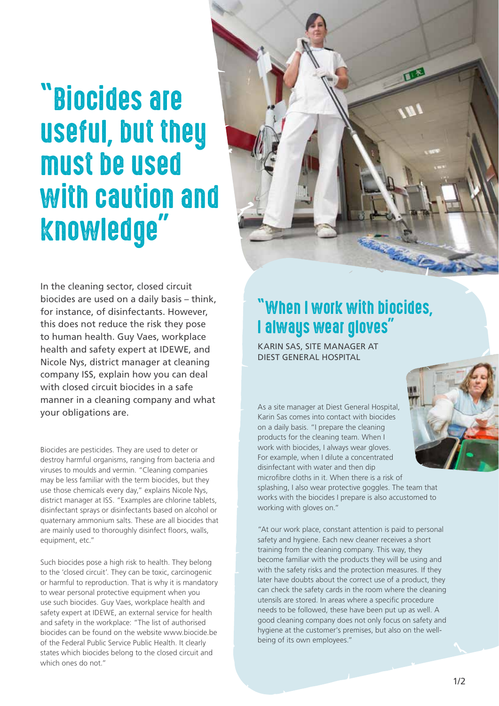# "Biocides are useful, but they must be used with caution and knowledge"



In the cleaning sector, closed circuit biocides are used on a daily basis – think, for instance, of disinfectants. However, this does not reduce the risk they pose to human health. Guy Vaes, workplace health and safety expert at IDEWE, and Nicole Nys, district manager at cleaning company ISS, explain how you can deal with closed circuit biocides in a safe manner in a cleaning company and what your obligations are.

Biocides are pesticides. They are used to deter or destroy harmful organisms, ranging from bacteria and viruses to moulds and vermin. "Cleaning companies may be less familiar with the term biocides, but they use those chemicals every day," explains Nicole Nys, district manager at ISS. "Examples are chlorine tablets, disinfectant sprays or disinfectants based on alcohol or quaternary ammonium salts. These are all biocides that are mainly used to thoroughly disinfect floors, walls, equipment, etc."

Such biocides pose a high risk to health. They belong to the 'closed circuit'. They can be toxic, carcinogenic or harmful to reproduction. That is why it is mandatory to wear personal protective equipment when you use such biocides. Guy Vaes, workplace health and safety expert at IDEWE, an external service for health and safety in the workplace: "The list of authorised biocides can be found on the website www.biocide.be of the Federal Public Service Public Health. It clearly states which biocides belong to the closed circuit and which ones do not."

#### "When I work with biocides, I always wear gloves"

KARIN SAS, SITE MANAGER AT DIEST GENERAL HOSPITAL

As a site manager at Diest General Hospital, Karin Sas comes into contact with biocides on a daily basis. "I prepare the cleaning products for the cleaning team. When I work with biocides, I always wear gloves. For example, when I dilute a concentrated disinfectant with water and then dip microfibre cloths in it. When there is a risk of splashing, I also wear protective goggles. The team that works with the biocides I prepare is also accustomed to

working with gloves on."

"At our work place, constant attention is paid to personal safety and hygiene. Each new cleaner receives a short training from the cleaning company. This way, they become familiar with the products they will be using and with the safety risks and the protection measures. If they later have doubts about the correct use of a product, they can check the safety cards in the room where the cleaning utensils are stored. In areas where a specific procedure needs to be followed, these have been put up as well. A good cleaning company does not only focus on safety and hygiene at the customer's premises, but also on the wellbeing of its own employees."